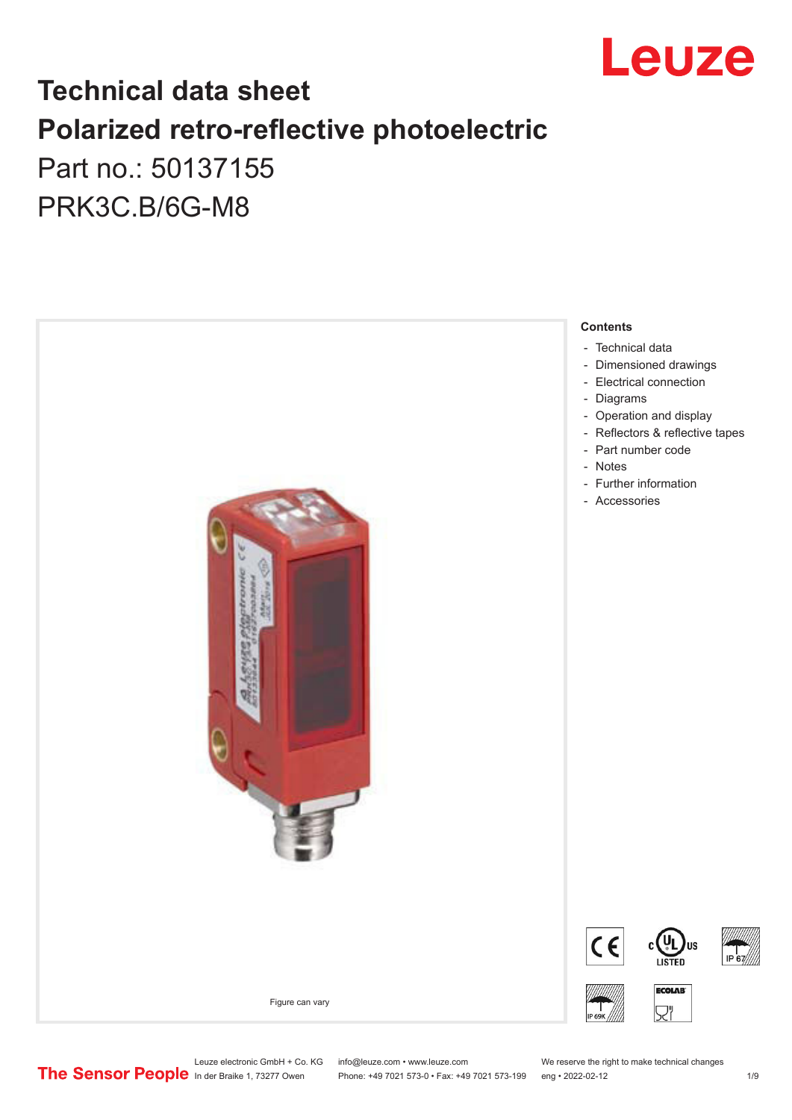

## **Technical data sheet Polarized retro-reflective photoelectric**  Part no.: 50137155

PRK3C.B/6G-M8



Leuze electronic GmbH + Co. KG info@leuze.com • www.leuze.com We reserve the right to make technical changes<br>
The Sensor People in der Braike 1, 73277 Owen Phone: +49 7021 573-0 • Fax: +49 7021 573-199 eng • 2022-02-12

Phone: +49 7021 573-0 • Fax: +49 7021 573-199 eng • 2022-02-12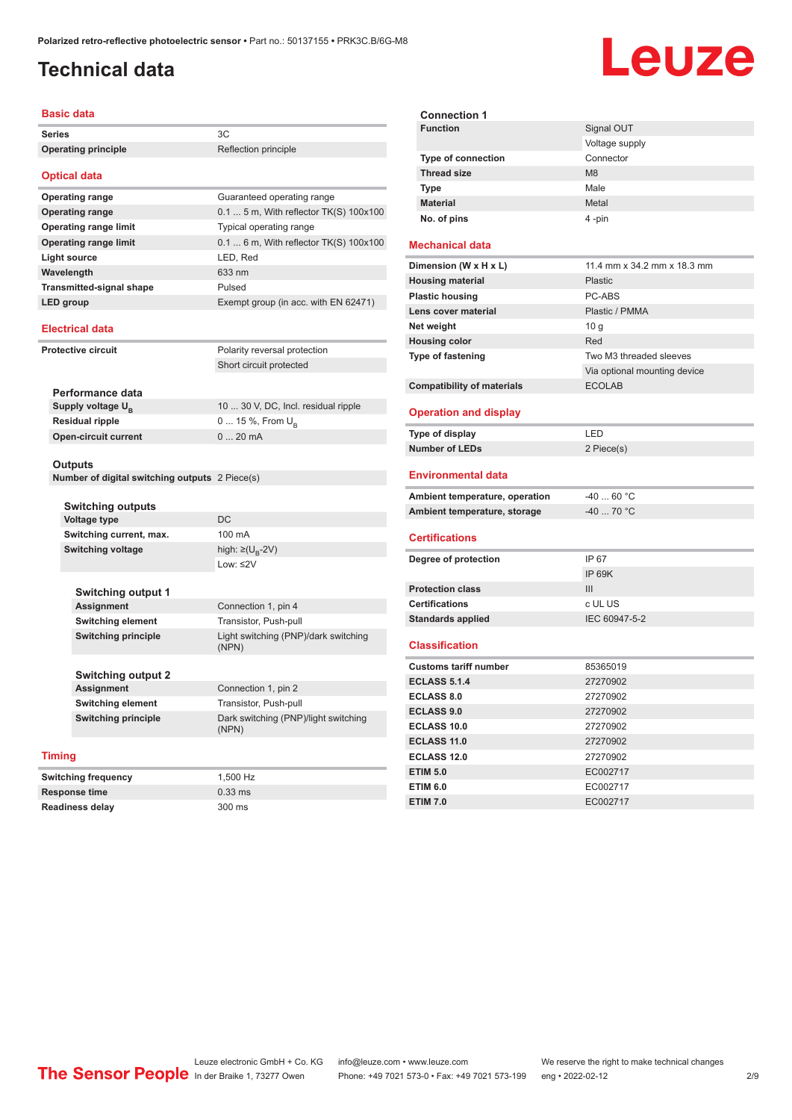## <span id="page-1-0"></span>**Technical data**

# Leuze

|                                                               | <b>Basic data</b>                                         |                                               |  |                                               |
|---------------------------------------------------------------|-----------------------------------------------------------|-----------------------------------------------|--|-----------------------------------------------|
| <b>Series</b>                                                 |                                                           | ЗC                                            |  |                                               |
|                                                               | <b>Operating principle</b>                                | Reflection principle                          |  |                                               |
| <b>Optical data</b>                                           |                                                           |                                               |  |                                               |
|                                                               | <b>Operating range</b>                                    | Guaranteed operating range                    |  |                                               |
|                                                               | <b>Operating range</b>                                    | $0.1$ 5 m, With reflector TK(S) 100x100       |  |                                               |
|                                                               | <b>Operating range limit</b>                              | Typical operating range                       |  |                                               |
|                                                               | <b>Operating range limit</b>                              | $0.1$ 6 m, With reflector TK(S) 100x100       |  |                                               |
|                                                               | <b>Light source</b>                                       | LED, Red                                      |  |                                               |
|                                                               | Wavelength                                                | 633 nm                                        |  |                                               |
|                                                               | <b>Transmitted-signal shape</b>                           | Pulsed                                        |  |                                               |
|                                                               | LED group                                                 | Exempt group (in acc. with EN 62471)          |  |                                               |
|                                                               | <b>Electrical data</b>                                    |                                               |  |                                               |
|                                                               | <b>Protective circuit</b>                                 | Polarity reversal protection                  |  |                                               |
|                                                               |                                                           | Short circuit protected                       |  |                                               |
|                                                               |                                                           |                                               |  |                                               |
|                                                               | Performance data                                          |                                               |  |                                               |
|                                                               | Supply voltage $U_{B}$                                    | 10  30 V, DC, Incl. residual ripple           |  |                                               |
|                                                               | <b>Residual ripple</b>                                    | 0  15 %, From U <sub>B</sub>                  |  |                                               |
|                                                               | <b>Open-circuit current</b>                               | 020mA                                         |  |                                               |
|                                                               | Outputs<br>Number of digital switching outputs 2 Piece(s) |                                               |  |                                               |
|                                                               |                                                           |                                               |  |                                               |
|                                                               | Switching outputs                                         |                                               |  |                                               |
|                                                               | <b>Voltage type</b>                                       | DC<br>100 mA<br>high: ≥(U <sub>B</sub> -2V)   |  |                                               |
|                                                               | Switching current, max.                                   |                                               |  |                                               |
|                                                               | <b>Switching voltage</b>                                  |                                               |  |                                               |
|                                                               |                                                           | Low: $\leq$ 2V                                |  |                                               |
|                                                               | <b>Switching output 1</b>                                 |                                               |  |                                               |
|                                                               | <b>Assignment</b>                                         | Connection 1, pin 4                           |  |                                               |
|                                                               | Switching element                                         | Transistor, Push-pull                         |  |                                               |
|                                                               | <b>Switching principle</b>                                | Light switching (PNP)/dark switching<br>(NPN) |  |                                               |
|                                                               | <b>Switching output 2</b>                                 |                                               |  |                                               |
| Assignment<br>Switching element<br><b>Switching principle</b> |                                                           | Connection 1, pin 2<br>Transistor, Push-pull  |  |                                               |
|                                                               |                                                           |                                               |  | Dark switching (PNP)/light switching<br>(NPN) |
|                                                               |                                                           | <b>Timing</b>                                 |  |                                               |
|                                                               | <b>Switching frequency</b>                                | 1,500 Hz                                      |  |                                               |
| <b>Response time</b>                                          |                                                           | $0.33$ ms                                     |  |                                               |
| Readiness delay                                               |                                                           | 300 ms                                        |  |                                               |

| Signal OUT     |
|----------------|
| Voltage supply |
| Connector      |
| M <sub>8</sub> |
| Male           |
| Metal          |
| 4-pin          |
|                |
|                |

#### **Mechanical data**

| Dimension (W x H x L)             | 11.4 mm x 34.2 mm x 18.3 mm  |  |
|-----------------------------------|------------------------------|--|
| <b>Housing material</b>           | Plastic                      |  |
| <b>Plastic housing</b>            | PC-ABS                       |  |
| Lens cover material               | Plastic / PMMA               |  |
| Net weight                        | 10q                          |  |
| <b>Housing color</b>              | Red                          |  |
| Type of fastening                 | Two M3 threaded sleeves      |  |
|                                   | Via optional mounting device |  |
| <b>Compatibility of materials</b> | <b>ECOLAB</b>                |  |
|                                   |                              |  |

#### **Operation and display**

| Type of display | I FD.      |
|-----------------|------------|
| Number of LEDs  | 2 Piece(s) |

#### **Environmental data**

| Ambient temperature, operation | -40  60 °C |
|--------------------------------|------------|
| Ambient temperature, storage   | -40  70 °C |

#### **Certifications**

| Degree of protection     | IP 67         |
|--------------------------|---------------|
|                          | IP 69K        |
| <b>Protection class</b>  | Ш             |
| <b>Certifications</b>    | c UL US       |
| <b>Standards applied</b> | IEC 60947-5-2 |

#### **Classification**

| <b>Customs tariff number</b> | 85365019 |
|------------------------------|----------|
| <b>ECLASS 5.1.4</b>          | 27270902 |
| <b>ECLASS 8.0</b>            | 27270902 |
| <b>ECLASS 9.0</b>            | 27270902 |
| ECLASS 10.0                  | 27270902 |
| <b>ECLASS 11.0</b>           | 27270902 |
| ECLASS 12.0                  | 27270902 |
| <b>ETIM 5.0</b>              | EC002717 |
| <b>ETIM 6.0</b>              | EC002717 |
| <b>ETIM 7.0</b>              | EC002717 |

Leuze electronic GmbH + Co. KG info@leuze.com • www.leuze.com We reserve the right to make technical changes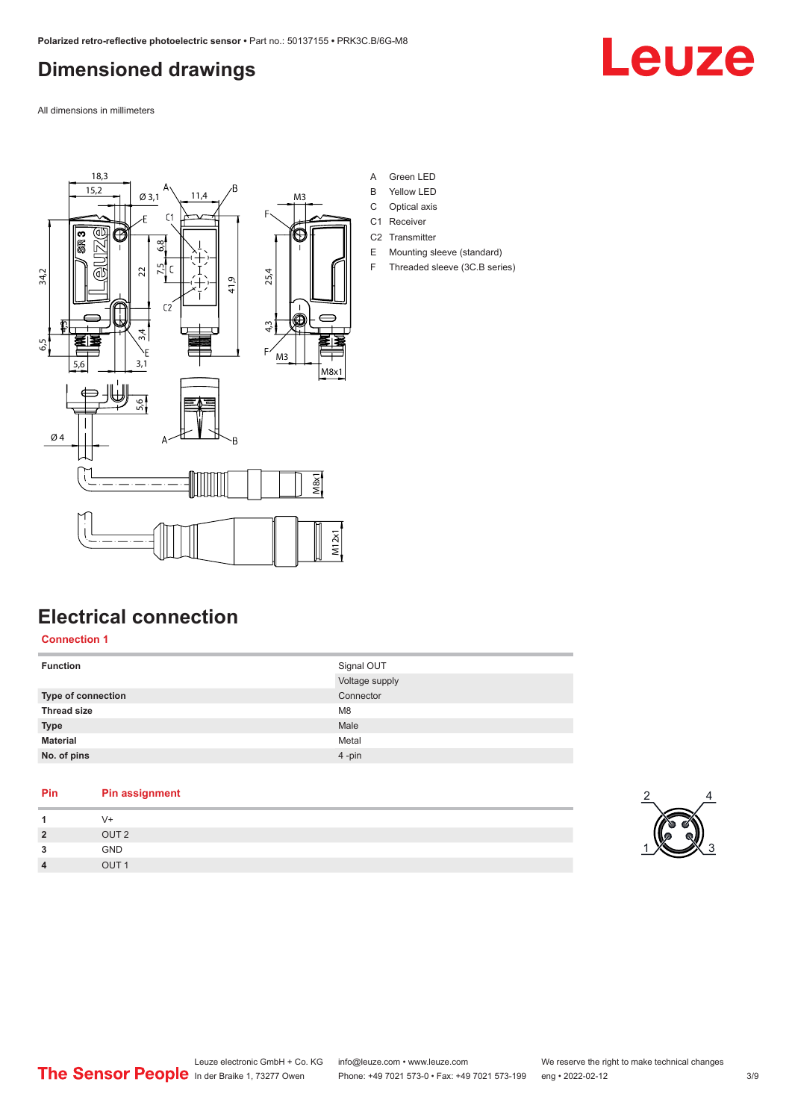## <span id="page-2-0"></span>**Dimensioned drawings**

Leuze

All dimensions in millimeters



- A Green LED
- B Yellow LED
- C Optical axis
- C1 Receiver
- C2 Transmitter
- E Mounting sleeve (standard) F Threaded sleeve (3C.B series)

## **Electrical connection**

#### **Connection 1**

| <b>Function</b>    | Signal OUT     |
|--------------------|----------------|
|                    | Voltage supply |
| Type of connection | Connector      |
| <b>Thread size</b> | M <sub>8</sub> |
| <b>Type</b>        | Male           |
| <b>Material</b>    | Metal          |
| No. of pins        | 4-pin          |

#### **Pin Pin assignment**

| -1             |                  |
|----------------|------------------|
| $\overline{2}$ | OUT <sub>2</sub> |
| 3              | GND              |
| $\overline{4}$ | <b>OUT</b>       |

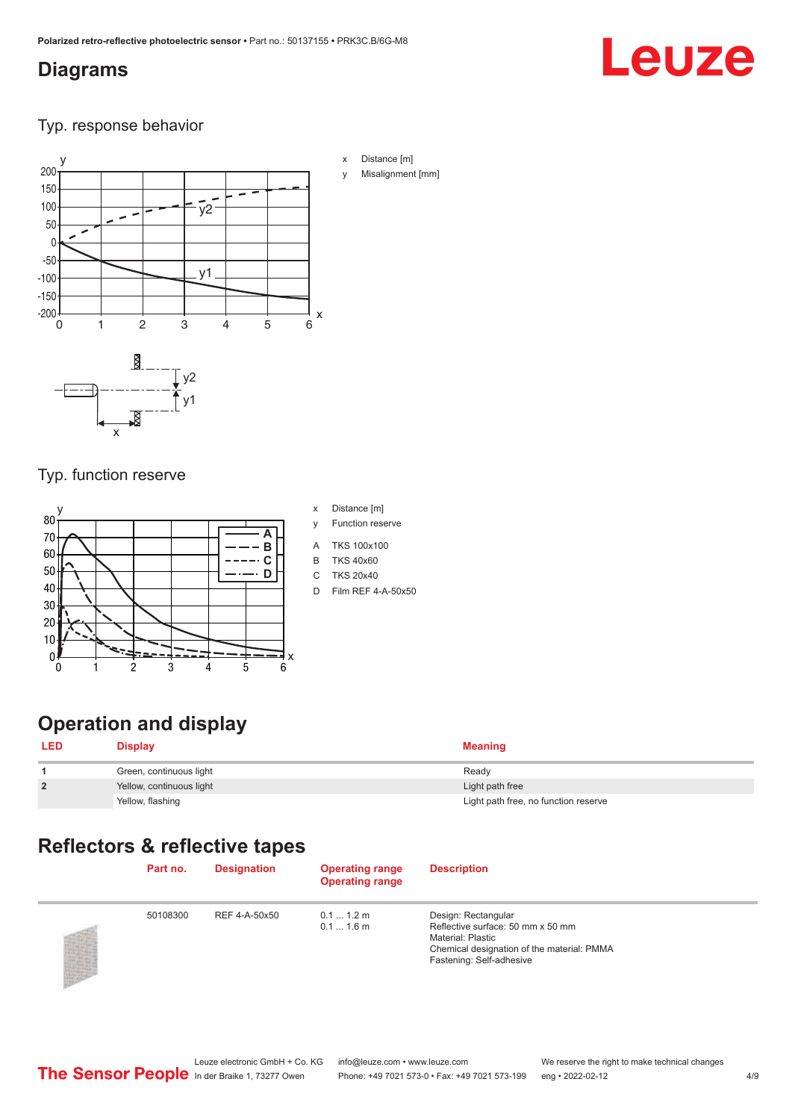### <span id="page-3-0"></span>**Diagrams**

# Leuze

#### Typ. response behavior



#### Typ. function reserve



- x Distance [m]
- y Function reserve
- A TKS 100x100
- B TKS 40x60
- C TKS 20x40
- D Film REF 4-A-50x50

## **Operation and display**

| <b>LED</b>     | <b>Display</b>           | <b>Meaning</b>                       |
|----------------|--------------------------|--------------------------------------|
|                | Green, continuous light  | Ready                                |
| $\overline{2}$ | Yellow, continuous light | Light path free                      |
|                | Yellow, flashing         | Light path free, no function reserve |

## **Reflectors & reflective tapes**

| Part no. | <b>Designation</b> | <b>Operating range</b><br><b>Operating range</b> | <b>Description</b>                                                                                                                                             |
|----------|--------------------|--------------------------------------------------|----------------------------------------------------------------------------------------------------------------------------------------------------------------|
| 50108300 | REF 4-A-50x50      | $0.11.2$ m<br>$0.11.6$ m                         | Design: Rectangular<br>Reflective surface: 50 mm x 50 mm<br><b>Material: Plastic</b><br>Chemical designation of the material: PMMA<br>Fastening: Self-adhesive |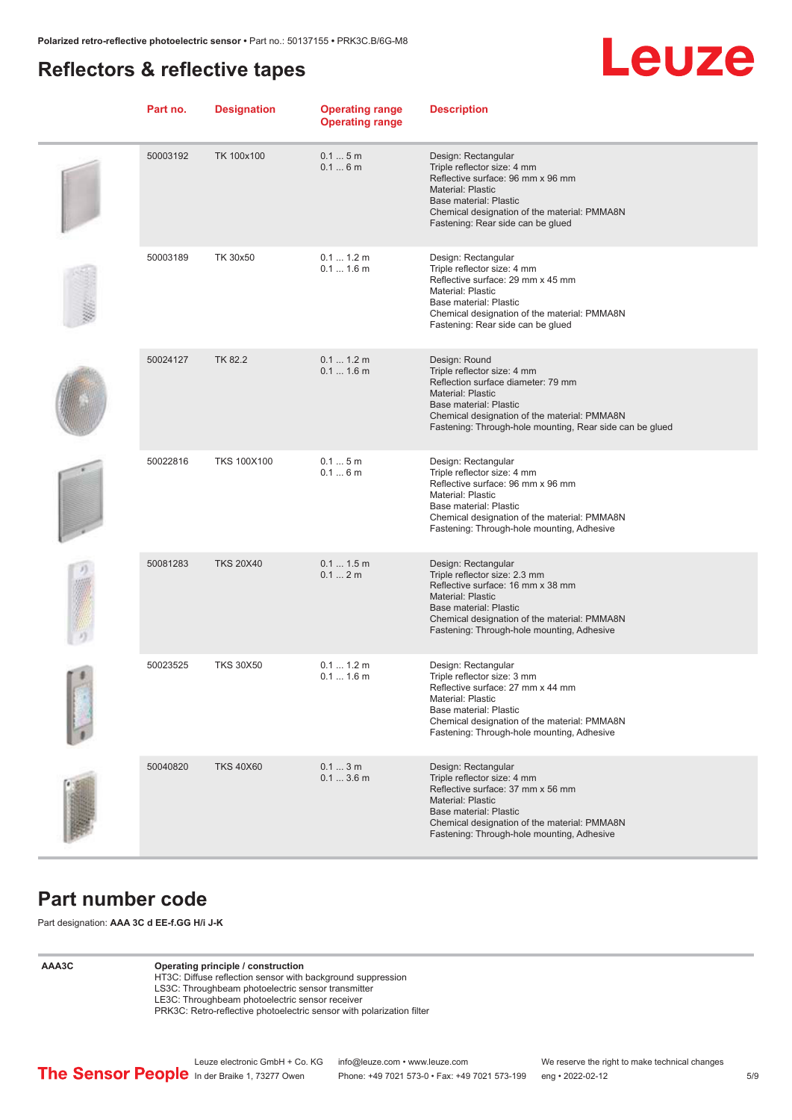#### <span id="page-4-0"></span>**Reflectors & reflective tapes**



| Part no. | <b>Designation</b> | <b>Operating range</b><br><b>Operating range</b> | <b>Description</b>                                                                                                                                                                                                                                   |
|----------|--------------------|--------------------------------------------------|------------------------------------------------------------------------------------------------------------------------------------------------------------------------------------------------------------------------------------------------------|
| 50003192 | TK 100x100         | 0.15m<br>0.16m                                   | Design: Rectangular<br>Triple reflector size: 4 mm<br>Reflective surface: 96 mm x 96 mm<br><b>Material: Plastic</b><br>Base material: Plastic<br>Chemical designation of the material: PMMA8N<br>Fastening: Rear side can be glued                   |
| 50003189 | TK 30x50           | 0.1 1.2 m<br>$0.11.6$ m                          | Design: Rectangular<br>Triple reflector size: 4 mm<br>Reflective surface: 29 mm x 45 mm<br>Material: Plastic<br>Base material: Plastic<br>Chemical designation of the material: PMMA8N<br>Fastening: Rear side can be glued                          |
| 50024127 | <b>TK 82.2</b>     | 0.1 1.2 m<br>$0.11.6$ m                          | Design: Round<br>Triple reflector size: 4 mm<br>Reflection surface diameter: 79 mm<br><b>Material: Plastic</b><br>Base material: Plastic<br>Chemical designation of the material: PMMA8N<br>Fastening: Through-hole mounting, Rear side can be glued |
| 50022816 | <b>TKS 100X100</b> | 0.15m<br>0.16m                                   | Design: Rectangular<br>Triple reflector size: 4 mm<br>Reflective surface: 96 mm x 96 mm<br>Material: Plastic<br>Base material: Plastic<br>Chemical designation of the material: PMMA8N<br>Fastening: Through-hole mounting, Adhesive                 |
| 50081283 | <b>TKS 20X40</b>   | 0.11.5m<br>0.12m                                 | Design: Rectangular<br>Triple reflector size: 2.3 mm<br>Reflective surface: 16 mm x 38 mm<br><b>Material: Plastic</b><br>Base material: Plastic<br>Chemical designation of the material: PMMA8N<br>Fastening: Through-hole mounting, Adhesive        |
| 50023525 | <b>TKS 30X50</b>   | 0.1  1.2 m<br>$0.11.6$ m                         | Design: Rectangular<br>Triple reflector size: 3 mm<br>Reflective surface: 27 mm x 44 mm<br>Material: Plastic<br>Base material: Plastic<br>Chemical designation of the material: PMMA8N<br>Fastening: Through-hole mounting, Adhesive                 |
| 50040820 | <b>TKS 40X60</b>   | 0.13m<br>0.13.6m                                 | Design: Rectangular<br>Triple reflector size: 4 mm<br>Reflective surface: 37 mm x 56 mm<br>Material: Plastic<br>Base material: Plastic<br>Chemical designation of the material: PMMA8N<br>Fastening: Through-hole mounting, Adhesive                 |

#### **Part number code**

Part designation: **AAA 3C d EE-f.GG H/i J-K**

#### **AAA3C Operating principle / construction**

HT3C: Diffuse reflection sensor with background suppression LS3C: Throughbeam photoelectric sensor transmitter

LE3C: Throughbeam photoelectric sensor receiver

PRK3C: Retro-reflective photoelectric sensor with polarization filter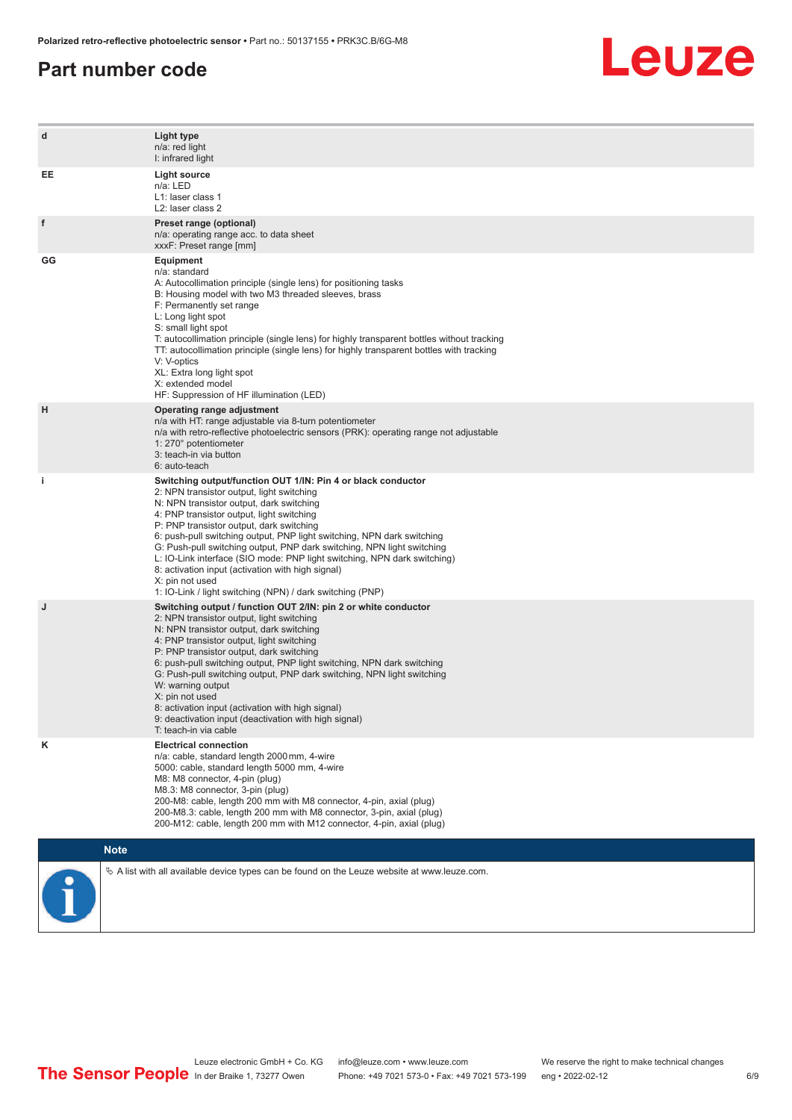#### **Part number code**



| d  | Light type<br>n/a: red light<br>I: infrared light                                                                                                                                                                                                                                                                                                                                                                                                                                                                                                                                                                   |
|----|---------------------------------------------------------------------------------------------------------------------------------------------------------------------------------------------------------------------------------------------------------------------------------------------------------------------------------------------------------------------------------------------------------------------------------------------------------------------------------------------------------------------------------------------------------------------------------------------------------------------|
| EE | <b>Light source</b><br>n/a: LED<br>L1: laser class 1<br>L <sub>2</sub> : laser class 2                                                                                                                                                                                                                                                                                                                                                                                                                                                                                                                              |
| f  | Preset range (optional)<br>n/a: operating range acc. to data sheet<br>xxxF: Preset range [mm]                                                                                                                                                                                                                                                                                                                                                                                                                                                                                                                       |
| GG | <b>Equipment</b><br>n/a: standard<br>A: Autocollimation principle (single lens) for positioning tasks<br>B: Housing model with two M3 threaded sleeves, brass<br>F: Permanently set range<br>L: Long light spot<br>S: small light spot<br>T: autocollimation principle (single lens) for highly transparent bottles without tracking<br>TT: autocollimation principle (single lens) for highly transparent bottles with tracking<br>V: V-optics<br>XL: Extra long light spot<br>X: extended model<br>HF: Suppression of HF illumination (LED)                                                                       |
| н  | Operating range adjustment<br>n/a with HT: range adjustable via 8-turn potentiometer<br>n/a with retro-reflective photoelectric sensors (PRK): operating range not adjustable<br>1: 270° potentiometer<br>3: teach-in via button<br>6: auto-teach                                                                                                                                                                                                                                                                                                                                                                   |
| j. | Switching output/function OUT 1/IN: Pin 4 or black conductor<br>2: NPN transistor output, light switching<br>N: NPN transistor output, dark switching<br>4: PNP transistor output, light switching<br>P: PNP transistor output, dark switching<br>6: push-pull switching output, PNP light switching, NPN dark switching<br>G: Push-pull switching output, PNP dark switching, NPN light switching<br>L: IO-Link interface (SIO mode: PNP light switching, NPN dark switching)<br>8: activation input (activation with high signal)<br>X: pin not used<br>1: IO-Link / light switching (NPN) / dark switching (PNP) |
| J  | Switching output / function OUT 2/IN: pin 2 or white conductor<br>2: NPN transistor output, light switching<br>N: NPN transistor output, dark switching<br>4: PNP transistor output, light switching<br>P: PNP transistor output, dark switching<br>6: push-pull switching output, PNP light switching, NPN dark switching<br>G: Push-pull switching output, PNP dark switching, NPN light switching<br>W: warning output<br>X: pin not used<br>8: activation input (activation with high signal)<br>9: deactivation input (deactivation with high signal)<br>T: teach-in via cable                                 |
| Κ  | <b>Electrical connection</b><br>n/a: cable, standard length 2000 mm, 4-wire<br>5000: cable, standard length 5000 mm, 4-wire<br>M8: M8 connector, 4-pin (plug)<br>M8.3: M8 connector, 3-pin (plug)<br>200-M8: cable, length 200 mm with M8 connector, 4-pin, axial (plug)<br>200-M8.3: cable, length 200 mm with M8 connector, 3-pin, axial (plug)<br>200-M12: cable, length 200 mm with M12 connector, 4-pin, axial (plug)                                                                                                                                                                                          |
|    | <b>Note</b>                                                                                                                                                                                                                                                                                                                                                                                                                                                                                                                                                                                                         |
|    | $\&$ A list with all available device types can be found on the Leuze website at www.leuze.com.                                                                                                                                                                                                                                                                                                                                                                                                                                                                                                                     |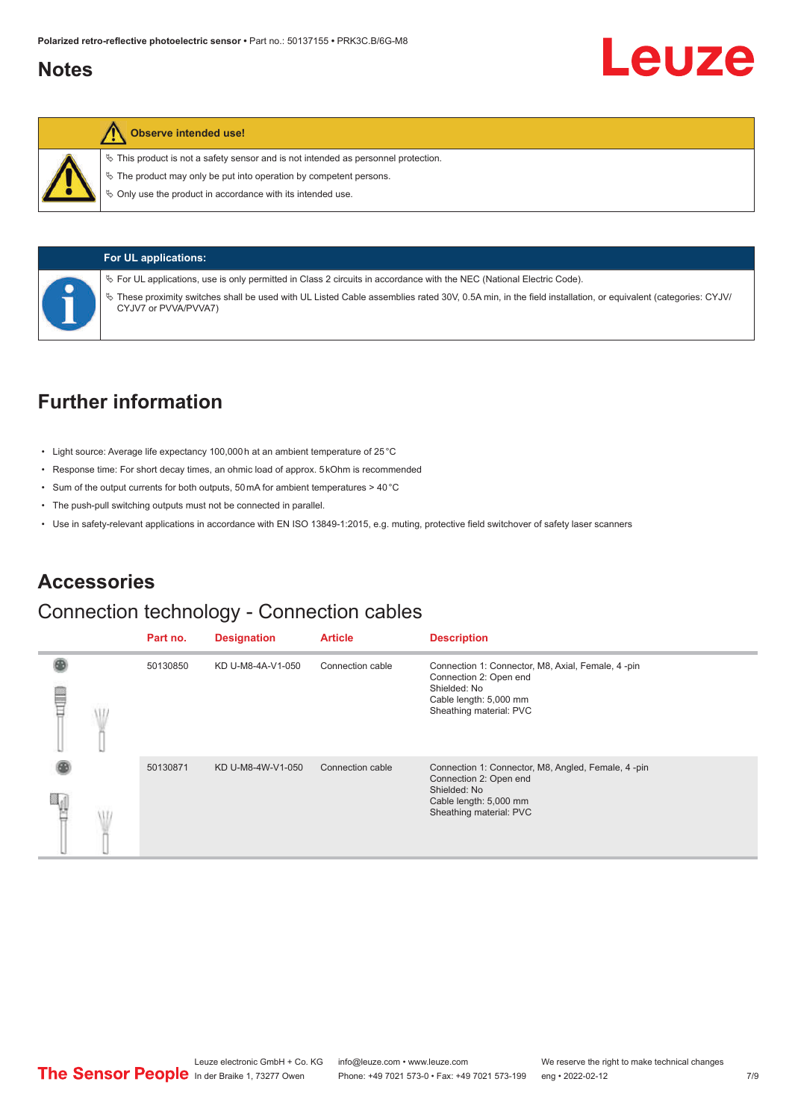#### <span id="page-6-0"></span>**Notes**



#### **Observe intended use!**

 $\%$  This product is not a safety sensor and is not intended as personnel protection.

 $\ddot{\phi}$  The product may only be put into operation by competent persons.

 $\%$  Only use the product in accordance with its intended use.



#### **For UL applications:**

ª For UL applications, use is only permitted in Class 2 circuits in accordance with the NEC (National Electric Code).

ª These proximity switches shall be used with UL Listed Cable assemblies rated 30V, 0.5A min, in the field installation, or equivalent (categories: CYJV/ CYJV7 or PVVA/PVVA7)

### **Further information**

- Light source: Average life expectancy 100,000 h at an ambient temperature of 25 °C
- Response time: For short decay times, an ohmic load of approx. 5 kOhm is recommended
- Sum of the output currents for both outputs, 50 mA for ambient temperatures > 40 °C
- The push-pull switching outputs must not be connected in parallel.
- Use in safety-relevant applications in accordance with EN ISO 13849-1:2015, e.g. muting, protective field switchover of safety laser scanners

#### **Accessories**

#### Connection technology - Connection cables

|  | Part no. | <b>Designation</b> | <b>Article</b>   | <b>Description</b>                                                                                                                                |
|--|----------|--------------------|------------------|---------------------------------------------------------------------------------------------------------------------------------------------------|
|  | 50130850 | KD U-M8-4A-V1-050  | Connection cable | Connection 1: Connector, M8, Axial, Female, 4-pin<br>Connection 2: Open end<br>Shielded: No<br>Cable length: 5,000 mm<br>Sheathing material: PVC  |
|  | 50130871 | KD U-M8-4W-V1-050  | Connection cable | Connection 1: Connector, M8, Angled, Female, 4-pin<br>Connection 2: Open end<br>Shielded: No<br>Cable length: 5,000 mm<br>Sheathing material: PVC |

Leuze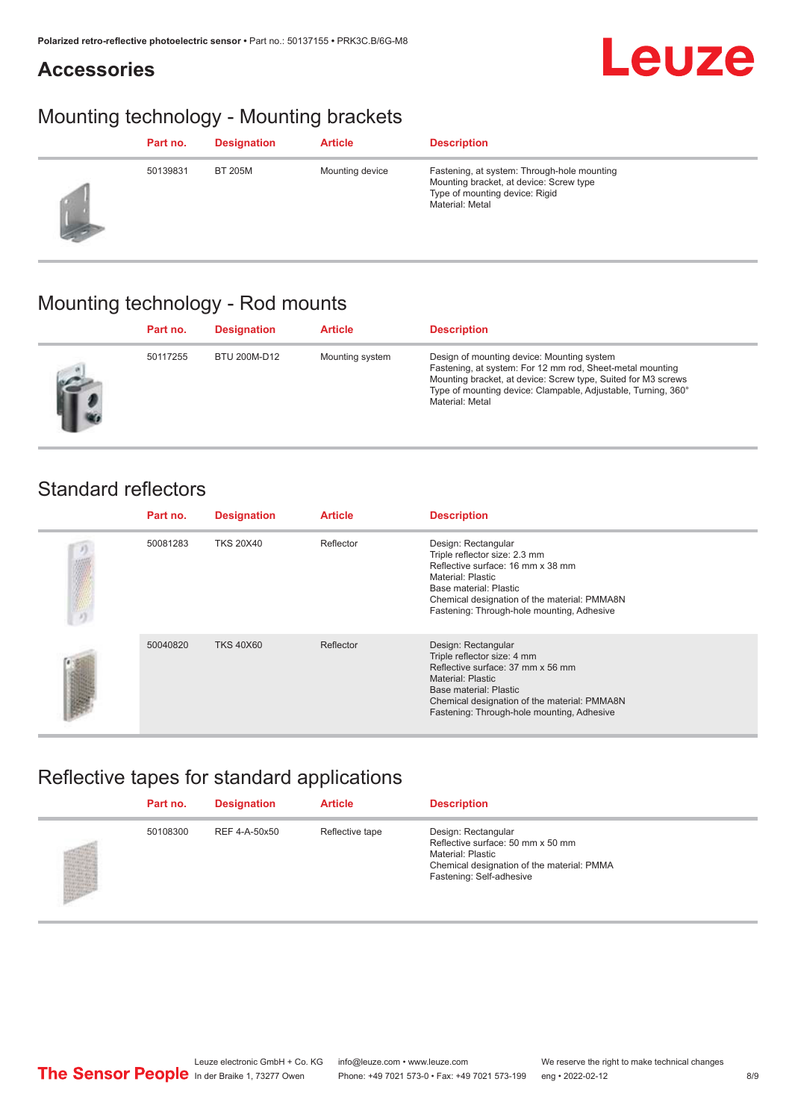### **Accessories**

## Mounting technology - Mounting brackets

|    | Part no. | <b>Designation</b> | <b>Article</b>  | <b>Description</b>                                                                                                                          |
|----|----------|--------------------|-----------------|---------------------------------------------------------------------------------------------------------------------------------------------|
| 23 | 50139831 | <b>BT 205M</b>     | Mounting device | Fastening, at system: Through-hole mounting<br>Mounting bracket, at device: Screw type<br>Type of mounting device: Rigid<br>Material: Metal |

## Mounting technology - Rod mounts

| Part no. | <b>Designation</b> | <b>Article</b>  | <b>Description</b>                                                                                                                                                                                                                                           |
|----------|--------------------|-----------------|--------------------------------------------------------------------------------------------------------------------------------------------------------------------------------------------------------------------------------------------------------------|
| 50117255 | BTU 200M-D12       | Mounting system | Design of mounting device: Mounting system<br>Fastening, at system: For 12 mm rod, Sheet-metal mounting<br>Mounting bracket, at device: Screw type, Suited for M3 screws<br>Type of mounting device: Clampable, Adjustable, Turning, 360°<br>Material: Metal |

#### Standard reflectors

| Part no. | <b>Designation</b> | <b>Article</b> | <b>Description</b>                                                                                                                                                                                                                          |
|----------|--------------------|----------------|---------------------------------------------------------------------------------------------------------------------------------------------------------------------------------------------------------------------------------------------|
| 50081283 | <b>TKS 20X40</b>   | Reflector      | Design: Rectangular<br>Triple reflector size: 2.3 mm<br>Reflective surface: 16 mm x 38 mm<br>Material: Plastic<br>Base material: Plastic<br>Chemical designation of the material: PMMA8N<br>Fastening: Through-hole mounting, Adhesive      |
| 50040820 | <b>TKS 40X60</b>   | Reflector      | Design: Rectangular<br>Triple reflector size: 4 mm<br>Reflective surface: 37 mm x 56 mm<br><b>Material: Plastic</b><br>Base material: Plastic<br>Chemical designation of the material: PMMA8N<br>Fastening: Through-hole mounting, Adhesive |

## Reflective tapes for standard applications

| Part no. | <b>Designation</b> | <b>Article</b>  | <b>Description</b>                                                                                                                                      |
|----------|--------------------|-----------------|---------------------------------------------------------------------------------------------------------------------------------------------------------|
| 50108300 | REF 4-A-50x50      | Reflective tape | Design: Rectangular<br>Reflective surface: 50 mm x 50 mm<br>Material: Plastic<br>Chemical designation of the material: PMMA<br>Fastening: Self-adhesive |